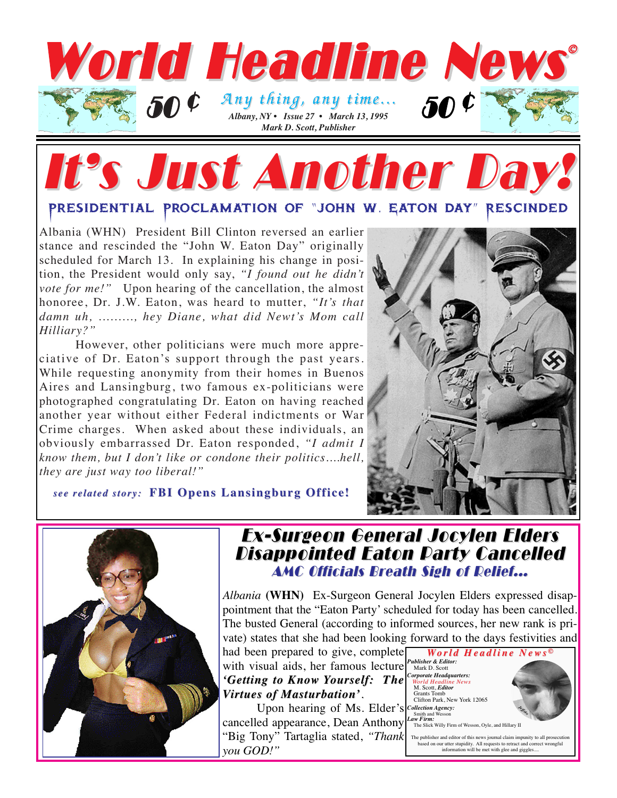

# It's Just Another Day

### Presidential Proclamation of "john w. Eaton day" Rescinded

Albania (WHN) President Bill Clinton reversed an earlier stance and rescinded the "John W. Eaton Day" originally scheduled for March 13. In explaining his change in position, the President would only say, *"I found out he didn't vote for me!*" Upon hearing of the cancellation, the almost honoree, Dr. J.W. Eaton, was heard to mutter, *"It's that damn uh, ........., hey Diane, what did Newt's Mom call Hilliary?"*

However, other politicians were much more appreciative of Dr. Eaton's support through the past years. While requesting anonymity from their homes in Buenos Aires and Lansingburg, two famous ex-politicians were photographed congratulating Dr. Eaton on having reached another year without either Federal indictments or War Crime charges. When asked about these individuals, an obviously embarrassed Dr. Eaton responded, *"I admit I know them, but I don't like or condone their politics....hell, they are just way too liberal!"*



*see related story: see related story:* **FBI Opens Lansingburg Of FBI Opens Lansingburg Office!**



### Ex-Surgeon General Jocylen Elders Ex-Surgeon General Jocylen Elders **Disappointed Eaton Party Cancelled** AMC Officials Breath Sigh of Relief...

*Albania* **(WHN)** Ex-Surgeon General Jocylen Elders expressed disappointment that the "Eaton Party' scheduled for today has been cancelled. The busted General (according to informed sources, her new rank is private) states that she had been looking forward to the days festivities and

had been prepared to give, complete with visual aids, her famous lecture *'Getting to Know 'Getting to Know Yourself: The ourself: The Virtues of Masturbation' irtues of Masturbation'.*

Upon hearing of Ms. Elder's *Collection Agency:* cancelled appearance, Dean Anthony "Big Tony" Tartaglia stated, "Thank  $\mid$  The publisher and editor of this news journal claim impunity to all prosecution *you GOD!"*

*World Headline News orld Headline News © Publisher & Editor:* Mark D. Scott *Corporate Headquarters: World Headline News* M. Scott, *Editor* Grants Tomb Clifton Park, New York 12065 Smith and Wesson *Law Firm:* The Slick Willy Firm of Wesson, Oyle, and Hillary II *Jeffoto*

based on our utter stupidity. All requests to retract and correct wrongful information will be met with glee and giggles....